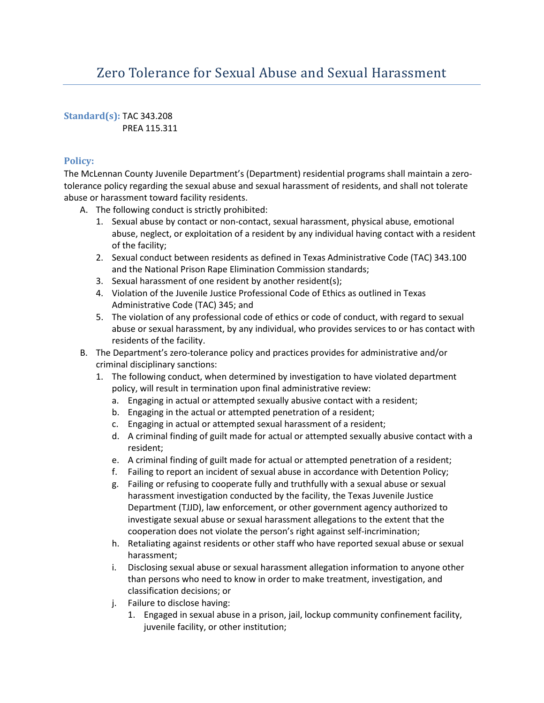# Zero Tolerance for Sexual Abuse and Sexual Harassment

**Standard(s):** TAC 343.208 PREA 115.311

## **Policy:**

The McLennan County Juvenile Department's (Department) residential programs shall maintain a zerotolerance policy regarding the sexual abuse and sexual harassment of residents, and shall not tolerate abuse or harassment toward facility residents.

- A. The following conduct is strictly prohibited:
	- 1. Sexual abuse by contact or non-contact, sexual harassment, physical abuse, emotional abuse, neglect, or exploitation of a resident by any individual having contact with a resident of the facility;
	- 2. Sexual conduct between residents as defined in Texas Administrative Code (TAC) 343.100 and the National Prison Rape Elimination Commission standards;
	- 3. Sexual harassment of one resident by another resident(s);
	- 4. Violation of the Juvenile Justice Professional Code of Ethics as outlined in Texas Administrative Code (TAC) 345; and
	- 5. The violation of any professional code of ethics or code of conduct, with regard to sexual abuse or sexual harassment, by any individual, who provides services to or has contact with residents of the facility.
- B. The Department's zero-tolerance policy and practices provides for administrative and/or criminal disciplinary sanctions:
	- 1. The following conduct, when determined by investigation to have violated department policy, will result in termination upon final administrative review:
		- a. Engaging in actual or attempted sexually abusive contact with a resident;
		- b. Engaging in the actual or attempted penetration of a resident;
		- c. Engaging in actual or attempted sexual harassment of a resident;
		- d. A criminal finding of guilt made for actual or attempted sexually abusive contact with a resident;
		- e. A criminal finding of guilt made for actual or attempted penetration of a resident;
		- f. Failing to report an incident of sexual abuse in accordance with Detention Policy;
		- g. Failing or refusing to cooperate fully and truthfully with a sexual abuse or sexual harassment investigation conducted by the facility, the Texas Juvenile Justice Department (TJJD), law enforcement, or other government agency authorized to investigate sexual abuse or sexual harassment allegations to the extent that the cooperation does not violate the person's right against self-incrimination;
		- h. Retaliating against residents or other staff who have reported sexual abuse or sexual harassment;
		- i. Disclosing sexual abuse or sexual harassment allegation information to anyone other than persons who need to know in order to make treatment, investigation, and classification decisions; or
		- j. Failure to disclose having:
			- 1. Engaged in sexual abuse in a prison, jail, lockup community confinement facility, juvenile facility, or other institution;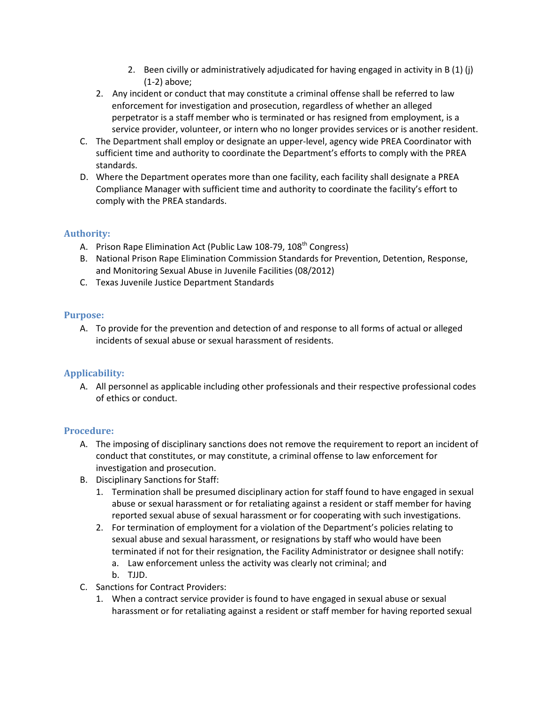- 2. Been civilly or administratively adjudicated for having engaged in activity in B (1) (j) (1-2) above;
- 2. Any incident or conduct that may constitute a criminal offense shall be referred to law enforcement for investigation and prosecution, regardless of whether an alleged perpetrator is a staff member who is terminated or has resigned from employment, is a service provider, volunteer, or intern who no longer provides services or is another resident.
- C. The Department shall employ or designate an upper-level, agency wide PREA Coordinator with sufficient time and authority to coordinate the Department's efforts to comply with the PREA standards.
- D. Where the Department operates more than one facility, each facility shall designate a PREA Compliance Manager with sufficient time and authority to coordinate the facility's effort to comply with the PREA standards.

### **Authority:**

- A. Prison Rape Elimination Act (Public Law 108-79, 108<sup>th</sup> Congress)
- B. National Prison Rape Elimination Commission Standards for Prevention, Detention, Response, and Monitoring Sexual Abuse in Juvenile Facilities (08/2012)
- C. Texas Juvenile Justice Department Standards

### **Purpose:**

A. To provide for the prevention and detection of and response to all forms of actual or alleged incidents of sexual abuse or sexual harassment of residents.

## **Applicability:**

A. All personnel as applicable including other professionals and their respective professional codes of ethics or conduct.

#### **Procedure:**

- A. The imposing of disciplinary sanctions does not remove the requirement to report an incident of conduct that constitutes, or may constitute, a criminal offense to law enforcement for investigation and prosecution.
- B. Disciplinary Sanctions for Staff:
	- 1. Termination shall be presumed disciplinary action for staff found to have engaged in sexual abuse or sexual harassment or for retaliating against a resident or staff member for having reported sexual abuse of sexual harassment or for cooperating with such investigations.
	- 2. For termination of employment for a violation of the Department's policies relating to sexual abuse and sexual harassment, or resignations by staff who would have been terminated if not for their resignation, the Facility Administrator or designee shall notify:
		- a. Law enforcement unless the activity was clearly not criminal; and
		- b. TJJD.
- C. Sanctions for Contract Providers:
	- 1. When a contract service provider is found to have engaged in sexual abuse or sexual harassment or for retaliating against a resident or staff member for having reported sexual